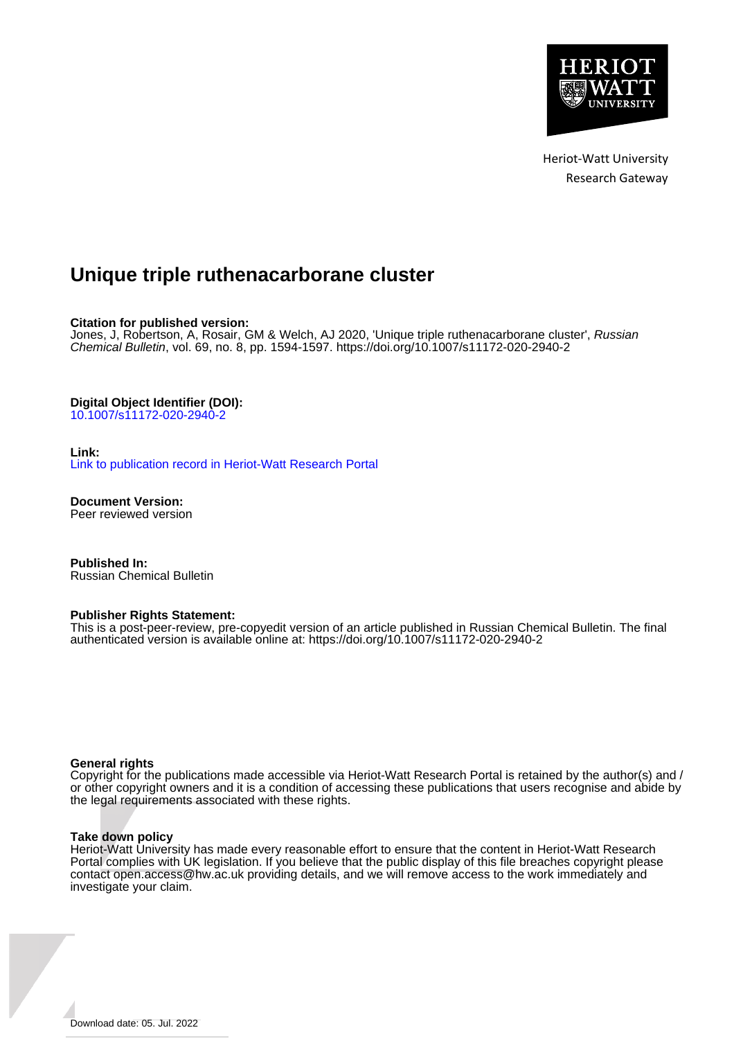

Heriot-Watt University Research Gateway

# **Unique triple ruthenacarborane cluster**

## **Citation for published version:**

Jones, J, Robertson, A, Rosair, GM & Welch, AJ 2020, 'Unique triple ruthenacarborane cluster', Russian Chemical Bulletin, vol. 69, no. 8, pp. 1594-1597. <https://doi.org/10.1007/s11172-020-2940-2>

# **Digital Object Identifier (DOI):**

[10.1007/s11172-020-2940-2](https://doi.org/10.1007/s11172-020-2940-2)

## **Link:**

[Link to publication record in Heriot-Watt Research Portal](https://researchportal.hw.ac.uk/en/publications/eca597a2-bf69-46ea-9eaf-4b0e908dcca3)

**Document Version:** Peer reviewed version

**Published In:** Russian Chemical Bulletin

#### **Publisher Rights Statement:**

This is a post-peer-review, pre-copyedit version of an article published in Russian Chemical Bulletin. The final authenticated version is available online at: https://doi.org/10.1007/s11172-020-2940-2

#### **General rights**

Copyright for the publications made accessible via Heriot-Watt Research Portal is retained by the author(s) and / or other copyright owners and it is a condition of accessing these publications that users recognise and abide by the legal requirements associated with these rights.

#### **Take down policy**

Heriot-Watt University has made every reasonable effort to ensure that the content in Heriot-Watt Research Portal complies with UK legislation. If you believe that the public display of this file breaches copyright please contact open.access@hw.ac.uk providing details, and we will remove access to the work immediately and investigate your claim.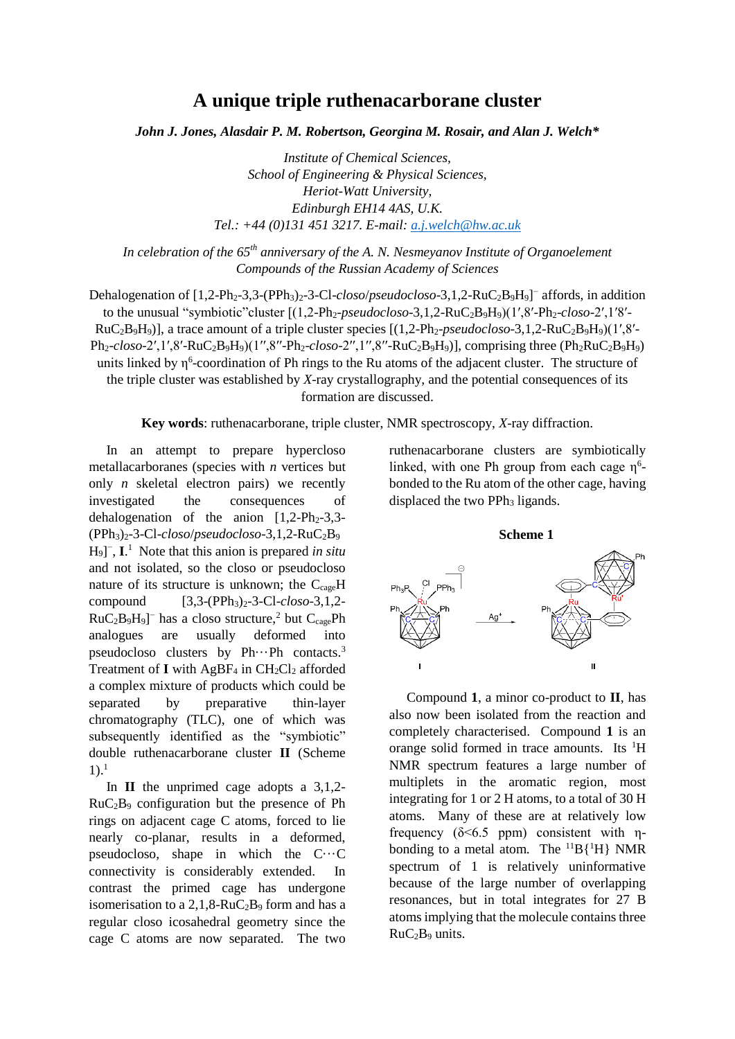# **A unique triple ruthenacarborane cluster**

*John J. Jones, Alasdair P. M. Robertson, Georgina M. Rosair, and Alan J. Welch\**

*Institute of Chemical Sciences, School of Engineering & Physical Sciences, Heriot-Watt University, Edinburgh EH14 4AS, U.K. Tel.: +44 (0)131 451 3217. E-mail: [a.j.welch@hw.ac.uk](mailto:a.j.welch@hw.ac.uk)*

*In celebration of the 65th anniversary of the A. N. Nesmeyanov Institute of Organoelement Compounds of the Russian Academy of Sciences*

Dehalogenation of [1,2-Ph<sub>2</sub>-3,3-(PPh<sub>3</sub>)<sub>2</sub>-3-Cl-*closo/pseudocloso*-3,1,2-RuC<sub>2</sub>B<sub>9</sub>H<sub>9</sub>]<sup>-</sup> affords, in addition to the unusual "symbiotic"cluster [(1,2-Ph2-*pseudocloso*-3,1,2-RuC2B9H9)(1′,8′-Ph2-*closo*-2′,1′8′- RuC2B9H9)], a trace amount of a triple cluster species [(1,2-Ph2-*pseudocloso*-3,1,2-RuC2B9H9)(1′,8′- Ph2-*closo*-2′,1′,8′-RuC2B9H9)(1′′,8′′-Ph2-*closo*-2′′,1′′,8′′-RuC2B9H9)], comprising three (Ph2RuC2B9H9) units linked by  $\eta^6$ -coordination of Ph rings to the Ru atoms of the adjacent cluster. The structure of the triple cluster was established by *X*-ray crystallography, and the potential consequences of its formation are discussed.

**Key words**: ruthenacarborane, triple cluster, NMR spectroscopy, *X*-ray diffraction.

In an attempt to prepare hypercloso metallacarboranes (species with *n* vertices but only *n* skeletal electron pairs) we recently investigated the consequences of dehalogenation of the anion  $[1,2-Ph<sub>2</sub>-3,3 (PPh<sub>3</sub>)<sub>2</sub>$ -3-Cl-*closo*/*pseudocloso*-3,1,2-RuC<sub>2</sub>B<sub>9</sub> H9] − , **I**. 1 Note that this anion is prepared *in situ* and not isolated, so the closo or pseudocloso nature of its structure is unknown; the  $C_{\text{case}}H$ compound  $[3,3-(PPh_3)_2-3-Cl-*closo-3*,1,2 RuC_2B_9H_9$ <sup>-</sup> has a closo structure,<sup>2</sup> but  $C_{cage}Ph$ analogues are usually deformed into pseudocloso clusters by  $Ph...Ph$  contacts.<sup>3</sup> Treatment of  $I$  with  $AgBF_4$  in  $CH_2Cl_2$  afforded a complex mixture of products which could be separated by preparative thin-layer chromatography (TLC), one of which was subsequently identified as the "symbiotic" double ruthenacarborane cluster **II** (Scheme  $1$ ).<sup>1</sup>

In **II** the unprimed cage adopts a 3,1,2-  $RuC<sub>2</sub>B<sub>9</sub>$  configuration but the presence of Ph rings on adjacent cage C atoms, forced to lie nearly co-planar, results in a deformed, pseudocloso, shape in which the C···C connectivity is considerably extended. In contrast the primed cage has undergone isomerisation to a  $2,1,8-RuC<sub>2</sub>B<sub>9</sub>$  form and has a regular closo icosahedral geometry since the cage C atoms are now separated. The two

ruthenacarborane clusters are symbiotically linked, with one Ph group from each cage  $\eta^6$ bonded to the Ru atom of the other cage, having displaced the two PPh<sub>3</sub> ligands.



Compound **1**, a minor co-product to **II**, has also now been isolated from the reaction and completely characterised. Compound **1** is an orange solid formed in trace amounts. Its <sup>1</sup>H NMR spectrum features a large number of multiplets in the aromatic region, most integrating for 1 or 2 H atoms, to a total of 30 H atoms. Many of these are at relatively low frequency ( $\delta$ <6.5 ppm) consistent with  $\eta$ bonding to a metal atom. The  ${}^{11}B{}^1H$  NMR spectrum of 1 is relatively uninformative because of the large number of overlapping resonances, but in total integrates for 27 B atoms implying that the molecule contains three RuC2B<sup>9</sup> units.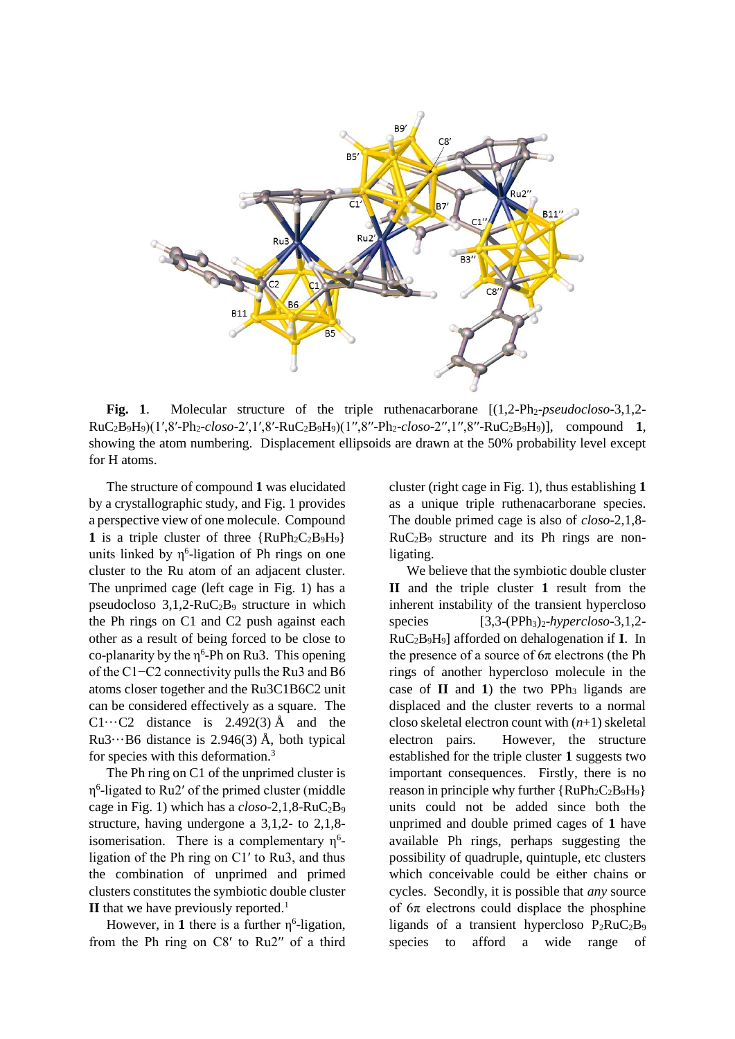

**Fig. 1**. Molecular structure of the triple ruthenacarborane  $[(1,2-Pb<sub>2</sub>-p<sub>2</sub>-p<sub>2</sub>-p<sub>2</sub>-p<sub>2</sub>-p<sub>2</sub>-p<sub>2</sub>-p<sub>2</sub>-p<sub>2</sub>-p<sub>2</sub>-p<sub>2</sub>-p<sub>2</sub>-p<sub>2</sub>-p<sub>2</sub>-p<sub>2</sub>-p<sub>2</sub>-p<sub>2</sub>-p<sub>2</sub>-p<sub>2</sub>-p$ RuC2B9H9)(1′,8′-Ph2-*closo*-2′,1′,8′-RuC2B9H9)(1′′,8′′-Ph2-*closo*-2′′,1′′,8′′-RuC2B9H9)], compound **1**, showing the atom numbering. Displacement ellipsoids are drawn at the 50% probability level except for H atoms.

The structure of compound **1** was elucidated by a crystallographic study, and Fig. 1 provides a perspective view of one molecule. Compound 1 is a triple cluster of three  ${RuPh_2C_2B_9H_9}$ units linked by  $\eta^6$ -ligation of Ph rings on one cluster to the Ru atom of an adjacent cluster. The unprimed cage (left cage in Fig. 1) has a pseudocloso  $3,1,2-RuC<sub>2</sub>B<sub>9</sub>$  structure in which the Ph rings on C1 and C2 push against each other as a result of being forced to be close to co-planarity by the  $\eta^6$ -Ph on Ru3. This opening of the C1−C2 connectivity pulls the Ru3 and B6 atoms closer together and the Ru3C1B6C2 unit can be considered effectively as a square. The C1 $\cdots$ C2 distance is 2.492(3) Å and the  $Ru3\cdots B6$  distance is 2.946(3) Å, both typical for species with this deformation.<sup>3</sup>

The Ph ring on C1 of the unprimed cluster is η 6 -ligated to Ru2′ of the primed cluster (middle cage in Fig. 1) which has a *closo*-2,1,8-RuC2B<sup>9</sup> structure, having undergone a 3,1,2- to 2,1,8 isomerisation. There is a complementary  $\eta^6$ ligation of the Ph ring on C1′ to Ru3, and thus the combination of unprimed and primed clusters constitutes the symbiotic double cluster  $\mathbf{II}$  that we have previously reported.<sup>1</sup>

However, in 1 there is a further  $\eta^6$ -ligation, from the Ph ring on C8′ to Ru2′′ of a third

cluster (right cage in Fig. 1), thus establishing **1** as a unique triple ruthenacarborane species. The double primed cage is also of *closo*-2,1,8-  $RuC<sub>2</sub>B<sub>9</sub>$  structure and its Ph rings are nonligating.

We believe that the symbiotic double cluster **II** and the triple cluster **1** result from the inherent instability of the transient hypercloso species [3,3-(PPh<sub>3</sub>)<sub>2</sub>-*hypercloso*-3,1,2-RuC2B9H9] afforded on dehalogenation if **I**. In the presence of a source of  $6\pi$  electrons (the Ph rings of another hypercloso molecule in the case of  $II$  and  $1$ ) the two PPh<sub>3</sub> ligands are displaced and the cluster reverts to a normal closo skeletal electron count with (*n*+1) skeletal electron pairs. However, the structure established for the triple cluster **1** suggests two important consequences. Firstly, there is no reason in principle why further  $\{RuPh_2C_2B_9H_9\}$ units could not be added since both the unprimed and double primed cages of **1** have available Ph rings, perhaps suggesting the possibility of quadruple, quintuple, etc clusters which conceivable could be either chains or cycles. Secondly, it is possible that *any* source of  $6\pi$  electrons could displace the phosphine ligands of a transient hypercloso  $P_2RuC_2B_9$ species to afford a wide range of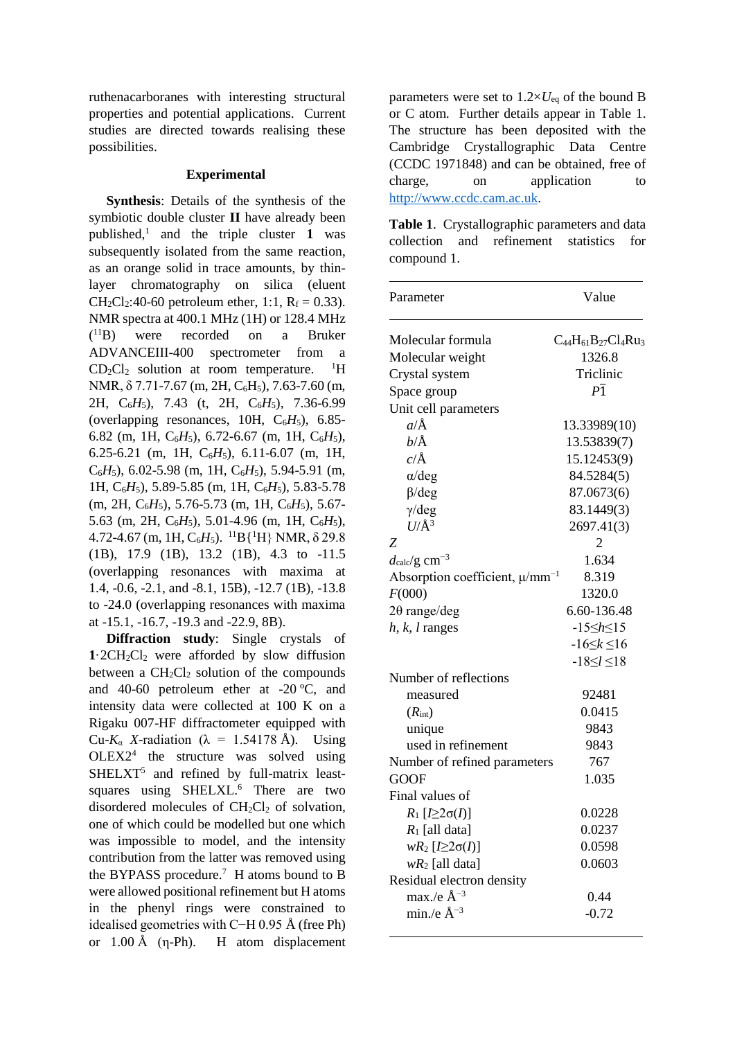ruthenacarboranes with interesting structural properties and potential applications. Current studies are directed towards realising these possibilities.

# **Experimental**

**Synthesis**: Details of the synthesis of the symbiotic double cluster **II** have already been published,<sup>1</sup> and the triple cluster **1** was subsequently isolated from the same reaction. as an orange solid in trace amounts, by thinlayer chromatography on silica (eluent  $CH_2Cl_2:40-60$  petroleum ether, 1:1,  $R_f = 0.33$ ). NMR spectra at 400.1 MHz (1H) or 128.4 MHz  $(^{11}B)$ were recorded on a Bruker ADVANCEIII-400 spectrometer from a CD2Cl<sup>2</sup> solution at room temperature.  $\rm ^1H$ NMR,  $\delta$  7.71-7.67 (m, 2H, C<sub>6</sub>H<sub>5</sub>), 7.63-7.60 (m, 2H, C6*H*5), 7.43 (t, 2H, C6*H*5), 7.36-6.99 (overlapping resonances, 10H,  $C_6H_5$ ), 6.85-6.82 (m, 1H, C6*H*5), 6.72-6.67 (m, 1H, C6*H*5), 6.25-6.21 (m, 1H, C6*H*5), 6.11-6.07 (m, 1H,  $C_6H_5$ ), 6.02-5.98 (m, 1H,  $C_6H_5$ ), 5.94-5.91 (m, 1H, C<sub>6</sub>H<sub>5</sub>), 5.89-5.85 (m, 1H, C<sub>6</sub>H<sub>5</sub>), 5.83-5.78 (m, 2H, C<sub>6</sub>H<sub>5</sub>), 5.76-5.73 (m, 1H, C<sub>6</sub>H<sub>5</sub>), 5.67-5.63 (m, 2H,  $C_6H_5$ ), 5.01-4.96 (m, 1H,  $C_6H_5$ ),  $4.72-4.67$  (m, 1H, C<sub>6</sub>H<sub>5</sub>). <sup>11</sup>B{<sup>1</sup>H} NMR,  $\delta$  29.8 (1B), 17.9 (1B), 13.2 (1B), 4.3 to -11.5 (overlapping resonances with maxima at 1.4, -0.6, -2.1, and -8.1, 15B), -12.7 (1B), -13.8 to -24.0 (overlapping resonances with maxima at -15.1, -16.7, -19.3 and -22.9, 8B).

**Diffraction study**: Single crystals of  $1.2CH<sub>2</sub>Cl<sub>2</sub>$  were afforded by slow diffusion between a  $CH<sub>2</sub>Cl<sub>2</sub>$  solution of the compounds and 40-60 petroleum ether at -20 ºC, and intensity data were collected at 100 K on a Rigaku 007-HF diffractometer equipped with Cu- $K_a$  X-radiation ( $\lambda = 1.54178$  Å). Using OLEX2<sup>4</sup> the structure was solved using SHELXT<sup>5</sup> and refined by full-matrix leastsquares using SHELXL.<sup>6</sup> There are two disordered molecules of  $CH<sub>2</sub>Cl<sub>2</sub>$  of solvation, one of which could be modelled but one which was impossible to model, and the intensity contribution from the latter was removed using the BYPASS procedure.<sup>7</sup> H atoms bound to B were allowed positional refinement but H atoms in the phenyl rings were constrained to idealised geometries with C−H 0.95 Å (free Ph) or  $1.00 \text{ Å}$  (η-Ph). H atom displacement

parameters were set to  $1.2 \times U_{eq}$  of the bound B or C atom. Further details appear in Table 1. The structure has been deposited with the Cambridge Crystallographic Data Centre (CCDC 1971848) and can be obtained, free of charge, on application to [http://www.ccdc.cam.ac.uk.](http://www.ccdc.cam.ac.uk/)

**Table 1**. Crystallographic parameters and data collection and refinement statistics for compound 1.

| Parameter                                       | Value                        |
|-------------------------------------------------|------------------------------|
| Molecular formula                               | $C_{44}H_{61}B_{27}Cl_4Ru_3$ |
| Molecular weight                                | 1326.8                       |
| Crystal system                                  | Triclinic                    |
| Space group                                     | $P\overline{1}$              |
| Unit cell parameters                            |                              |
| $a/\text{\AA}$                                  | 13.33989(10)                 |
| $b/\text{\AA}$                                  | 13.53839(7)                  |
| $c/\text{\AA}$                                  | 15.12453(9)                  |
| $\alpha$ /deg                                   | 84.5284(5)                   |
| $\beta$ /deg                                    | 87.0673(6)                   |
| $\gamma$ /deg                                   | 83.1449(3)                   |
| $U/\AA$ <sup>3</sup>                            | 2697.41(3)                   |
| Ζ                                               | 2                            |
| $d_{\rm calc}/\rm g\ cm^{-3}$                   | 1.634                        |
| Absorption coefficient, $\mu$ /mm <sup>-1</sup> | 8.319                        |
| F(000)                                          | 1320.0                       |
| $2\theta$ range/deg                             | 6.60-136.48                  |
| $h, k, l$ ranges                                | $-15 \le h \le 15$           |
|                                                 | $-16 \le k \le 16$           |
|                                                 | $-18 \le l \le 18$           |
| Number of reflections                           |                              |
| measured                                        | 92481                        |
| $(R_{\rm int})$                                 | 0.0415                       |
| unique                                          | 9843                         |
| used in refinement                              | 9843                         |
| Number of refined parameters                    | 767                          |
| <b>GOOF</b>                                     | 1.035                        |
| Final values of                                 |                              |
| $R_1$ [ $I \geq 2\sigma(I)$ ]                   | 0.0228                       |
| $R_1$ [all data]                                | 0.0237                       |
| $wR_2$ [ $I \geq 2\sigma(I)$ ]                  | 0.0598                       |
| $wR_2$ [all data]                               | 0.0603                       |
| Residual electron density                       |                              |
| max./e $\AA^{-3}$                               | 0.44                         |
| min./e $\AA^{-3}$                               | $-0.72$                      |